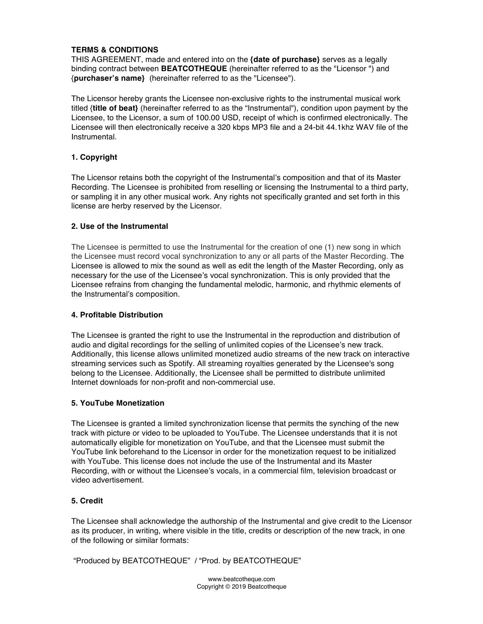# **TERMS & CONDITIONS**

THIS AGREEMENT, made and entered into on the **{date of purchase}** serves as a legally binding contract between **BEATCOTHEQUE** (hereinafter referred to as the "Licensor ") and {**purchaser's name}** (hereinafter referred to as the "Licensee").

The Licensor hereby grants the Licensee non-exclusive rights to the instrumental musical work titled {**title of beat}** (hereinafter referred to as the "Instrumental"), condition upon payment by the Licensee, to the Licensor, a sum of 100.00 USD, receipt of which is confirmed electronically. The Licensee will then electronically receive a 320 kbps MP3 file and a 24-bit 44.1khz WAV file of the Instrumental.

## **1. Copyright**

The Licensor retains both the copyright of the Instrumental's composition and that of its Master Recording. The Licensee is prohibited from reselling or licensing the Instrumental to a third party, or sampling it in any other musical work. Any rights not specifically granted and set forth in this license are herby reserved by the Licensor.

#### **2. Use of the Instrumental**

The Licensee is permitted to use the Instrumental for the creation of one (1) new song in which the Licensee must record vocal synchronization to any or all parts of the Master Recording. The Licensee is allowed to mix the sound as well as edit the length of the Master Recording, only as necessary for the use of the Licensee's vocal synchronization. This is only provided that the Licensee refrains from changing the fundamental melodic, harmonic, and rhythmic elements of the Instrumental's composition.

#### **4. Profitable Distribution**

The Licensee is granted the right to use the Instrumental in the reproduction and distribution of audio and digital recordings for the selling of unlimited copies of the Licensee's new track. Additionally, this license allows unlimited monetized audio streams of the new track on interactive streaming services such as Spotify. All streaming royalties generated by the Licensee's song belong to the Licensee. Additionally, the Licensee shall be permitted to distribute unlimited Internet downloads for non-profit and non-commercial use.

## **5. YouTube Monetization**

The Licensee is granted a limited synchronization license that permits the synching of the new track with picture or video to be uploaded to YouTube. The Licensee understands that it is not automatically eligible for monetization on YouTube, and that the Licensee must submit the YouTube link beforehand to the Licensor in order for the monetization request to be initialized with YouTube. This license does not include the use of the Instrumental and its Master Recording, with or without the Licensee's vocals, in a commercial film, television broadcast or video advertisement.

## **5. Credit**

The Licensee shall acknowledge the authorship of the Instrumental and give credit to the Licensor as its producer, in writing, where visible in the title, credits or description of the new track, in one of the following or similar formats:

"Produced by BEATCOTHEQUE" / "Prod. by BEATCOTHEQUE"